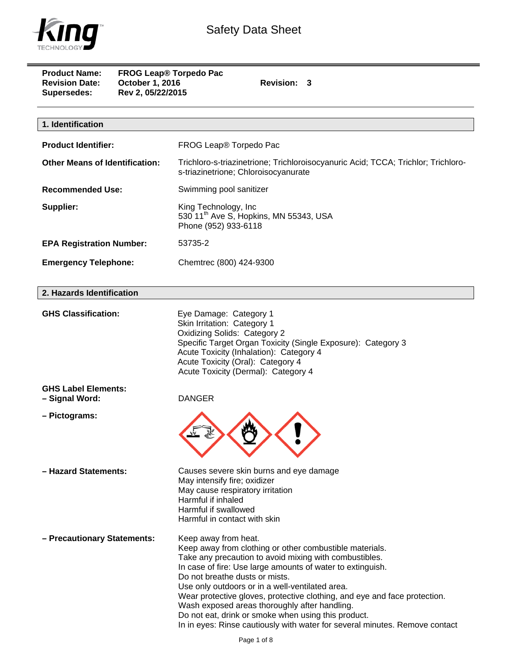

| <b>Product Name:</b><br><b>Revision Date:</b><br>October 1, 2016<br>Rev 2, 05/22/2015<br><b>Supersedes:</b> | <b>FROG Leap® Torpedo Pac</b><br>Revision: 3                                                                                                                                                                                                                                                                                                                                                                                                                                                                                                                     |  |
|-------------------------------------------------------------------------------------------------------------|------------------------------------------------------------------------------------------------------------------------------------------------------------------------------------------------------------------------------------------------------------------------------------------------------------------------------------------------------------------------------------------------------------------------------------------------------------------------------------------------------------------------------------------------------------------|--|
| 1. Identification                                                                                           |                                                                                                                                                                                                                                                                                                                                                                                                                                                                                                                                                                  |  |
| <b>Product Identifier:</b>                                                                                  | FROG Leap® Torpedo Pac                                                                                                                                                                                                                                                                                                                                                                                                                                                                                                                                           |  |
| <b>Other Means of Identification:</b>                                                                       | Trichloro-s-triazinetrione; Trichloroisocyanuric Acid; TCCA; Trichlor; Trichloro-<br>s-triazinetrione; Chloroisocyanurate                                                                                                                                                                                                                                                                                                                                                                                                                                        |  |
| <b>Recommended Use:</b>                                                                                     | Swimming pool sanitizer                                                                                                                                                                                                                                                                                                                                                                                                                                                                                                                                          |  |
| Supplier:                                                                                                   | King Technology, Inc.<br>530 11 <sup>th</sup> Ave S, Hopkins, MN 55343, USA<br>Phone (952) 933-6118                                                                                                                                                                                                                                                                                                                                                                                                                                                              |  |
| <b>EPA Registration Number:</b>                                                                             | 53735-2                                                                                                                                                                                                                                                                                                                                                                                                                                                                                                                                                          |  |
| <b>Emergency Telephone:</b>                                                                                 | Chemtrec (800) 424-9300                                                                                                                                                                                                                                                                                                                                                                                                                                                                                                                                          |  |
| 2. Hazards Identification                                                                                   |                                                                                                                                                                                                                                                                                                                                                                                                                                                                                                                                                                  |  |
| <b>GHS Classification:</b>                                                                                  | Eye Damage: Category 1<br>Skin Irritation: Category 1<br><b>Oxidizing Solids: Category 2</b><br>Specific Target Organ Toxicity (Single Exposure): Category 3<br>Acute Toxicity (Inhalation): Category 4<br>Acute Toxicity (Oral): Category 4<br>Acute Toxicity (Dermal): Category 4                                                                                                                                                                                                                                                                              |  |
| <b>GHS Label Elements:</b><br>- Signal Word:                                                                | <b>DANGER</b>                                                                                                                                                                                                                                                                                                                                                                                                                                                                                                                                                    |  |
| - Pictograms:                                                                                               |                                                                                                                                                                                                                                                                                                                                                                                                                                                                                                                                                                  |  |
| - Hazard Statements:                                                                                        | Causes severe skin burns and eye damage<br>May intensify fire; oxidizer<br>May cause respiratory irritation<br>Harmful if inhaled<br>Harmful if swallowed<br>Harmful in contact with skin                                                                                                                                                                                                                                                                                                                                                                        |  |
| - Precautionary Statements:                                                                                 | Keep away from heat.<br>Keep away from clothing or other combustible materials.<br>Take any precaution to avoid mixing with combustibles.<br>In case of fire: Use large amounts of water to extinguish.<br>Do not breathe dusts or mists.<br>Use only outdoors or in a well-ventilated area.<br>Wear protective gloves, protective clothing, and eye and face protection.<br>Wash exposed areas thoroughly after handling.<br>Do not eat, drink or smoke when using this product.<br>In in eyes: Rinse cautiously with water for several minutes. Remove contact |  |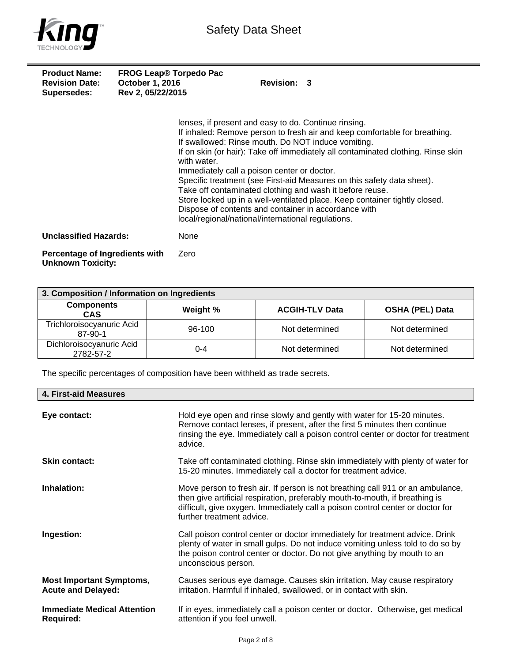

| <b>Product Name:</b><br><b>Revision Date:</b><br>Supersedes: | <b>FROG Leap® Torpedo Pac</b><br><b>October 1, 2016</b><br>Rev 2, 05/22/2015 | Revision: 3                                                                                                                                                                                                                                                                                                                                                                                                                                                                                                                                                                                                                                                                  |
|--------------------------------------------------------------|------------------------------------------------------------------------------|------------------------------------------------------------------------------------------------------------------------------------------------------------------------------------------------------------------------------------------------------------------------------------------------------------------------------------------------------------------------------------------------------------------------------------------------------------------------------------------------------------------------------------------------------------------------------------------------------------------------------------------------------------------------------|
|                                                              |                                                                              | lenses, if present and easy to do. Continue rinsing.<br>If inhaled: Remove person to fresh air and keep comfortable for breathing.<br>If swallowed: Rinse mouth. Do NOT induce vomiting.<br>If on skin (or hair): Take off immediately all contaminated clothing. Rinse skin<br>with water.<br>Immediately call a poison center or doctor.<br>Specific treatment (see First-aid Measures on this safety data sheet).<br>Take off contaminated clothing and wash it before reuse.<br>Store locked up in a well-ventilated place. Keep container tightly closed.<br>Dispose of contents and container in accordance with<br>local/regional/national/international regulations. |
| <b>Unclassified Hazards:</b>                                 |                                                                              | None                                                                                                                                                                                                                                                                                                                                                                                                                                                                                                                                                                                                                                                                         |
| Percentage of Ingredients with<br><b>Unknown Toxicity:</b>   |                                                                              | Zero                                                                                                                                                                                                                                                                                                                                                                                                                                                                                                                                                                                                                                                                         |

| 3. Composition / Information on Ingredients |          |                       |                        |
|---------------------------------------------|----------|-----------------------|------------------------|
| <b>Components</b><br><b>CAS</b>             | Weight % | <b>ACGIH-TLV Data</b> | <b>OSHA (PEL) Data</b> |
| Trichloroisocyanuric Acid<br>87-90-1        | 96-100   | Not determined        | Not determined         |
| Dichloroisocyanuric Acid<br>2782-57-2       | $0 - 4$  | Not determined        | Not determined         |

The specific percentages of composition have been withheld as trade secrets.

| 4. First-aid Measures                                        |                                                                                                                                                                                                                                                                               |
|--------------------------------------------------------------|-------------------------------------------------------------------------------------------------------------------------------------------------------------------------------------------------------------------------------------------------------------------------------|
| Eye contact:                                                 | Hold eye open and rinse slowly and gently with water for 15-20 minutes.<br>Remove contact lenses, if present, after the first 5 minutes then continue<br>rinsing the eye. Immediately call a poison control center or doctor for treatment<br>advice.                         |
| <b>Skin contact:</b>                                         | Take off contaminated clothing. Rinse skin immediately with plenty of water for<br>15-20 minutes. Immediately call a doctor for treatment advice.                                                                                                                             |
| Inhalation:                                                  | Move person to fresh air. If person is not breathing call 911 or an ambulance,<br>then give artificial respiration, preferably mouth-to-mouth, if breathing is<br>difficult, give oxygen. Immediately call a poison control center or doctor for<br>further treatment advice. |
| Ingestion:                                                   | Call poison control center or doctor immediately for treatment advice. Drink<br>plenty of water in small gulps. Do not induce vomiting unless told to do so by<br>the poison control center or doctor. Do not give anything by mouth to an<br>unconscious person.             |
| <b>Most Important Symptoms,</b><br><b>Acute and Delayed:</b> | Causes serious eye damage. Causes skin irritation. May cause respiratory<br>irritation. Harmful if inhaled, swallowed, or in contact with skin.                                                                                                                               |
| <b>Immediate Medical Attention</b><br><b>Required:</b>       | If in eyes, immediately call a poison center or doctor. Otherwise, get medical<br>attention if you feel unwell.                                                                                                                                                               |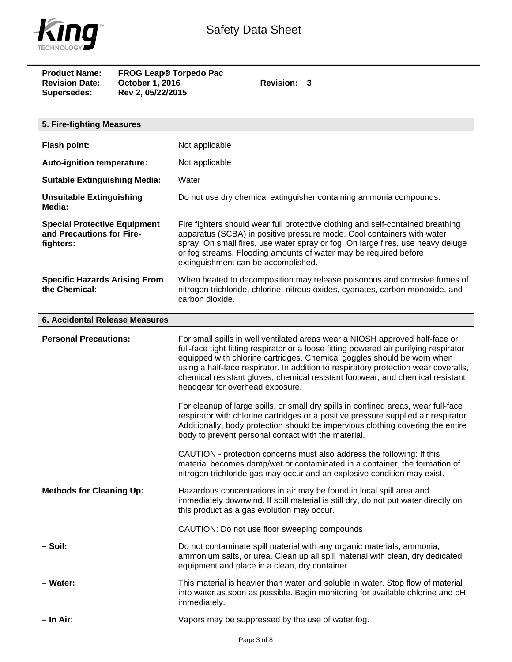

**Product Name: FROG Leap® Torpedo Pac**  Revision Date: Cortober 1, 2016 **Revision: 3 Supersedes: Rev 2, 05/22/2015** 

| 5. Fire-fighting Measures                                                     |                                                                                                                                                                                                                                                                                                                                                                                                                                                                                                                                                                                                                                                                                                                                                                                      |
|-------------------------------------------------------------------------------|--------------------------------------------------------------------------------------------------------------------------------------------------------------------------------------------------------------------------------------------------------------------------------------------------------------------------------------------------------------------------------------------------------------------------------------------------------------------------------------------------------------------------------------------------------------------------------------------------------------------------------------------------------------------------------------------------------------------------------------------------------------------------------------|
| Flash point:                                                                  | Not applicable                                                                                                                                                                                                                                                                                                                                                                                                                                                                                                                                                                                                                                                                                                                                                                       |
|                                                                               |                                                                                                                                                                                                                                                                                                                                                                                                                                                                                                                                                                                                                                                                                                                                                                                      |
| <b>Auto-ignition temperature:</b>                                             | Not applicable                                                                                                                                                                                                                                                                                                                                                                                                                                                                                                                                                                                                                                                                                                                                                                       |
| <b>Suitable Extinguishing Media:</b>                                          | Water                                                                                                                                                                                                                                                                                                                                                                                                                                                                                                                                                                                                                                                                                                                                                                                |
| <b>Unsuitable Extinguishing</b><br>Media:                                     | Do not use dry chemical extinguisher containing ammonia compounds.                                                                                                                                                                                                                                                                                                                                                                                                                                                                                                                                                                                                                                                                                                                   |
| <b>Special Protective Equipment</b><br>and Precautions for Fire-<br>fighters: | Fire fighters should wear full protective clothing and self-contained breathing<br>apparatus (SCBA) in positive pressure mode. Cool containers with water<br>spray. On small fires, use water spray or fog. On large fires, use heavy deluge<br>or fog streams. Flooding amounts of water may be required before<br>extinguishment can be accomplished.                                                                                                                                                                                                                                                                                                                                                                                                                              |
| <b>Specific Hazards Arising From</b><br>the Chemical:                         | When heated to decomposition may release poisonous and corrosive fumes of<br>nitrogen trichloride, chlorine, nitrous oxides, cyanates, carbon monoxide, and<br>carbon dioxide.                                                                                                                                                                                                                                                                                                                                                                                                                                                                                                                                                                                                       |
| <b>6. Accidental Release Measures</b>                                         |                                                                                                                                                                                                                                                                                                                                                                                                                                                                                                                                                                                                                                                                                                                                                                                      |
| <b>Personal Precautions:</b>                                                  | For small spills in well ventilated areas wear a NIOSH approved half-face or<br>full-face tight fitting respirator or a loose fitting powered air purifying respirator<br>equipped with chlorine cartridges. Chemical goggles should be worn when<br>using a half-face respirator. In addition to respiratory protection wear coveralls,<br>chemical resistant gloves, chemical resistant footwear, and chemical resistant<br>headgear for overhead exposure.<br>For cleanup of large spills, or small dry spills in confined areas, wear full-face<br>respirator with chlorine cartridges or a positive pressure supplied air respirator.<br>Additionally, body protection should be impervious clothing covering the entire<br>body to prevent personal contact with the material. |
|                                                                               | CAUTION - protection concerns must also address the following: If this<br>material becomes damp/wet or contaminated in a container, the formation of<br>nitrogen trichloride gas may occur and an explosive condition may exist.                                                                                                                                                                                                                                                                                                                                                                                                                                                                                                                                                     |
| <b>Methods for Cleaning Up:</b>                                               | Hazardous concentrations in air may be found in local spill area and<br>immediately downwind. If spill material is still dry, do not put water directly on<br>this product as a gas evolution may occur.                                                                                                                                                                                                                                                                                                                                                                                                                                                                                                                                                                             |
|                                                                               | CAUTION: Do not use floor sweeping compounds                                                                                                                                                                                                                                                                                                                                                                                                                                                                                                                                                                                                                                                                                                                                         |
| – Soil:                                                                       | Do not contaminate spill material with any organic materials, ammonia,<br>ammonium salts, or urea. Clean up all spill material with clean, dry dedicated<br>equipment and place in a clean, dry container.                                                                                                                                                                                                                                                                                                                                                                                                                                                                                                                                                                           |
| - Water:                                                                      | This material is heavier than water and soluble in water. Stop flow of material<br>into water as soon as possible. Begin monitoring for available chlorine and pH<br>immediately.                                                                                                                                                                                                                                                                                                                                                                                                                                                                                                                                                                                                    |
| - In Air:                                                                     | Vapors may be suppressed by the use of water fog.                                                                                                                                                                                                                                                                                                                                                                                                                                                                                                                                                                                                                                                                                                                                    |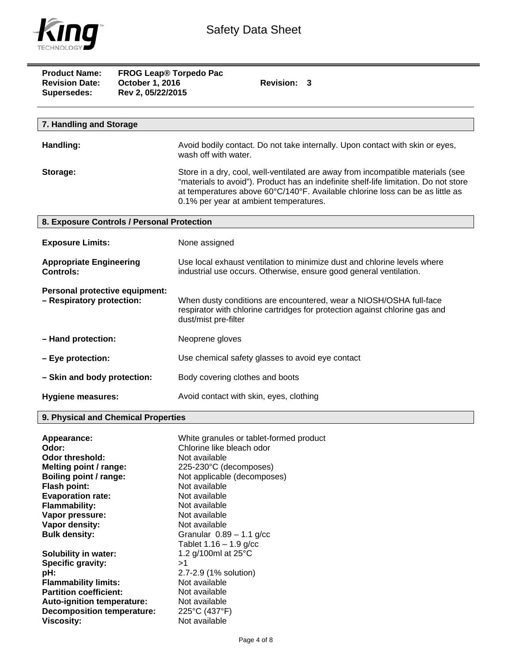

| <b>Product Name:</b><br><b>Revision Date:</b><br>Supersedes: | <b>FROG Leap® Torpedo Pac</b><br>October 1, 2016<br>Rev 2, 05/22/2015 | Revision: 3                                                                                                                                                                                                                                                                                        |
|--------------------------------------------------------------|-----------------------------------------------------------------------|----------------------------------------------------------------------------------------------------------------------------------------------------------------------------------------------------------------------------------------------------------------------------------------------------|
|                                                              |                                                                       |                                                                                                                                                                                                                                                                                                    |
| 7. Handling and Storage                                      |                                                                       |                                                                                                                                                                                                                                                                                                    |
| Handling:                                                    |                                                                       | Avoid bodily contact. Do not take internally. Upon contact with skin or eyes,<br>wash off with water.                                                                                                                                                                                              |
| Storage:                                                     |                                                                       | Store in a dry, cool, well-ventilated are away from incompatible materials (see<br>"materials to avoid"). Product has an indefinite shelf-life limitation. Do not store<br>at temperatures above 60°C/140°F. Available chlorine loss can be as little as<br>0.1% per year at ambient temperatures. |
| 8. Exposure Controls / Personal Protection                   |                                                                       |                                                                                                                                                                                                                                                                                                    |
| <b>Exposure Limits:</b>                                      |                                                                       | None assigned                                                                                                                                                                                                                                                                                      |
| <b>Appropriate Engineering</b><br><b>Controls:</b>           |                                                                       | Use local exhaust ventilation to minimize dust and chlorine levels where<br>industrial use occurs. Otherwise, ensure good general ventilation.                                                                                                                                                     |
| Personal protective equipment:<br>- Respiratory protection:  |                                                                       | When dusty conditions are encountered, wear a NIOSH/OSHA full-face<br>respirator with chlorine cartridges for protection against chlorine gas and<br>dust/mist pre-filter                                                                                                                          |
| - Hand protection:                                           |                                                                       | Neoprene gloves                                                                                                                                                                                                                                                                                    |
| - Eye protection:                                            |                                                                       | Use chemical safety glasses to avoid eye contact                                                                                                                                                                                                                                                   |
| - Skin and body protection:                                  |                                                                       | Body covering clothes and boots                                                                                                                                                                                                                                                                    |
| <b>Hygiene measures:</b>                                     |                                                                       | Avoid contact with skin, eyes, clothing                                                                                                                                                                                                                                                            |

## **9. Physical and Chemical Properties**

| Appearance:                       | White granules or tablet-formed product |
|-----------------------------------|-----------------------------------------|
| Odor:                             | Chlorine like bleach odor               |
| Odor threshold:                   | Not available                           |
| Melting point / range:            | 225-230°C (decomposes)                  |
| Boiling point / range:            | Not applicable (decomposes)             |
| <b>Flash point:</b>               | Not available                           |
| <b>Evaporation rate:</b>          | Not available                           |
| <b>Flammability:</b>              | Not available                           |
| Vapor pressure:                   | Not available                           |
| Vapor density:                    | Not available                           |
| <b>Bulk density:</b>              | Granular $0.89 - 1.1$ g/cc              |
|                                   | Tablet $1.16 - 1.9$ g/cc                |
| <b>Solubility in water:</b>       | 1.2 g/100ml at 25°C                     |
| Specific gravity:                 | >1                                      |
| pH:                               | 2.7-2.9 (1% solution)                   |
| <b>Flammability limits:</b>       | Not available                           |
| <b>Partition coefficient:</b>     | Not available                           |
| Auto-ignition temperature:        | Not available                           |
| <b>Decomposition temperature:</b> | 225°C (437°F)                           |
| Viscosity:                        | Not available                           |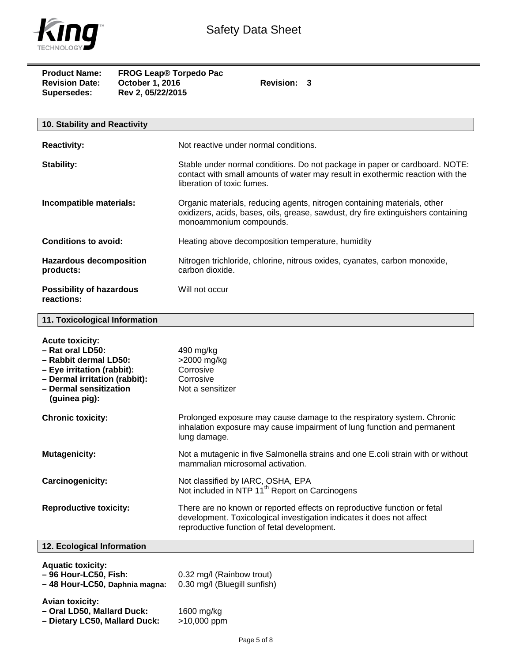

 $=$ Ĺ,

| <b>Product Name:</b><br><b>Revision Date:</b><br>October 1, 2016<br>Rev 2, 05/22/2015<br><b>Supersedes:</b>                                                                   | FROG Leap® Torpedo Pac<br>Revision: 3                                                                                                                                                            |  |
|-------------------------------------------------------------------------------------------------------------------------------------------------------------------------------|--------------------------------------------------------------------------------------------------------------------------------------------------------------------------------------------------|--|
| 10. Stability and Reactivity                                                                                                                                                  |                                                                                                                                                                                                  |  |
| <b>Reactivity:</b>                                                                                                                                                            | Not reactive under normal conditions.                                                                                                                                                            |  |
| Stability:                                                                                                                                                                    | Stable under normal conditions. Do not package in paper or cardboard. NOTE:<br>contact with small amounts of water may result in exothermic reaction with the<br>liberation of toxic fumes.      |  |
| Incompatible materials:                                                                                                                                                       | Organic materials, reducing agents, nitrogen containing materials, other<br>oxidizers, acids, bases, oils, grease, sawdust, dry fire extinguishers containing<br>monoammonium compounds.         |  |
| <b>Conditions to avoid:</b>                                                                                                                                                   | Heating above decomposition temperature, humidity                                                                                                                                                |  |
| <b>Hazardous decomposition</b><br>products:                                                                                                                                   | Nitrogen trichloride, chlorine, nitrous oxides, cyanates, carbon monoxide,<br>carbon dioxide.                                                                                                    |  |
| <b>Possibility of hazardous</b><br>reactions:                                                                                                                                 | Will not occur                                                                                                                                                                                   |  |
| 11. Toxicological Information                                                                                                                                                 |                                                                                                                                                                                                  |  |
| <b>Acute toxicity:</b><br>- Rat oral LD50:<br>- Rabbit dermal LD50:<br>- Eye irritation (rabbit):<br>- Dermal irritation (rabbit):<br>- Dermal sensitization<br>(guinea pig): | 490 mg/kg<br>>2000 mg/kg<br>Corrosive<br>Corrosive<br>Not a sensitizer                                                                                                                           |  |
| <b>Chronic toxicity:</b>                                                                                                                                                      | Prolonged exposure may cause damage to the respiratory system. Chronic<br>inhalation exposure may cause impairment of lung function and permanent<br>lung damage.                                |  |
| <b>Mutagenicity:</b>                                                                                                                                                          | Not a mutagenic in five Salmonella strains and one E.coli strain with or without<br>mammalian microsomal activation.                                                                             |  |
| Carcinogenicity:                                                                                                                                                              | Not classified by IARC, OSHA, EPA<br>Not included in NTP 11 <sup>th</sup> Report on Carcinogens                                                                                                  |  |
| <b>Reproductive toxicity:</b>                                                                                                                                                 | There are no known or reported effects on reproductive function or fetal<br>development. Toxicological investigation indicates it does not affect<br>reproductive function of fetal development. |  |
| 12. Ecological Information                                                                                                                                                    |                                                                                                                                                                                                  |  |
| <b>Aquatic toxicity:</b><br>- 96 Hour-LC50. Fish:                                                                                                                             | 0.32 mg/l (Rainbow trout)                                                                                                                                                                        |  |

**– 96 Hour-LC50, Fish:** 0.32 mg/l (Rainbow trout) - 48 Hour-LC50, Daphnia magna:

**Avian toxicity:** 

**– Oral LD50, Mallard Duck:** 1600 mg/kg **– Dietary LC50, Mallard Duck:** >10,000 ppm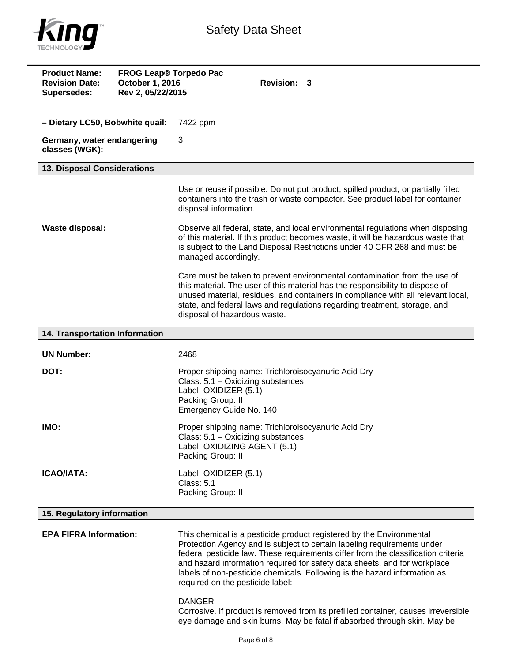

| <b>Product Name:</b><br><b>FROG Leap® Torpedo Pac</b><br><b>Revision Date:</b><br>October 1, 2016<br>Rev 2, 05/22/2015<br><b>Supersedes:</b> | Revision: 3                                                                                                                                                                                                                                                                                                                                                                                                                        |
|----------------------------------------------------------------------------------------------------------------------------------------------|------------------------------------------------------------------------------------------------------------------------------------------------------------------------------------------------------------------------------------------------------------------------------------------------------------------------------------------------------------------------------------------------------------------------------------|
| - Dietary LC50, Bobwhite quail:                                                                                                              | 7422 ppm                                                                                                                                                                                                                                                                                                                                                                                                                           |
| Germany, water endangering<br>classes (WGK):                                                                                                 | 3                                                                                                                                                                                                                                                                                                                                                                                                                                  |
| 13. Disposal Considerations                                                                                                                  |                                                                                                                                                                                                                                                                                                                                                                                                                                    |
|                                                                                                                                              | Use or reuse if possible. Do not put product, spilled product, or partially filled<br>containers into the trash or waste compactor. See product label for container<br>disposal information.                                                                                                                                                                                                                                       |
| Waste disposal:                                                                                                                              | Observe all federal, state, and local environmental regulations when disposing<br>of this material. If this product becomes waste, it will be hazardous waste that<br>is subject to the Land Disposal Restrictions under 40 CFR 268 and must be<br>managed accordingly.                                                                                                                                                            |
|                                                                                                                                              | Care must be taken to prevent environmental contamination from the use of<br>this material. The user of this material has the responsibility to dispose of<br>unused material, residues, and containers in compliance with all relevant local,<br>state, and federal laws and regulations regarding treatment, storage, and<br>disposal of hazardous waste.                                                                        |
| 14. Transportation Information                                                                                                               |                                                                                                                                                                                                                                                                                                                                                                                                                                    |
| <b>UN Number:</b>                                                                                                                            | 2468                                                                                                                                                                                                                                                                                                                                                                                                                               |
| DOT:                                                                                                                                         | Proper shipping name: Trichloroisocyanuric Acid Dry<br>Class: 5.1 - Oxidizing substances<br>Label: OXIDIZER (5.1)<br>Packing Group: II<br>Emergency Guide No. 140                                                                                                                                                                                                                                                                  |
| IMO:                                                                                                                                         | Proper shipping name: Trichloroisocyanuric Acid Dry<br>Class: 5.1 - Oxidizing substances<br>Label: OXIDIZING AGENT (5.1)<br>Packing Group: II                                                                                                                                                                                                                                                                                      |
| <b>ICAO/IATA:</b>                                                                                                                            | Label: OXIDIZER (5.1)<br><b>Class: 5.1</b><br>Packing Group: II                                                                                                                                                                                                                                                                                                                                                                    |
| 15. Regulatory information                                                                                                                   |                                                                                                                                                                                                                                                                                                                                                                                                                                    |
| <b>EPA FIFRA Information:</b>                                                                                                                | This chemical is a pesticide product registered by the Environmental<br>Protection Agency and is subject to certain labeling requirements under<br>federal pesticide law. These requirements differ from the classification criteria<br>and hazard information required for safety data sheets, and for workplace<br>labels of non-pesticide chemicals. Following is the hazard information as<br>required on the pesticide label: |
|                                                                                                                                              | <b>DANGER</b><br>Corrosive. If product is removed from its prefilled container, causes irreversible<br>eye damage and skin burns. May be fatal if absorbed through skin. May be                                                                                                                                                                                                                                                    |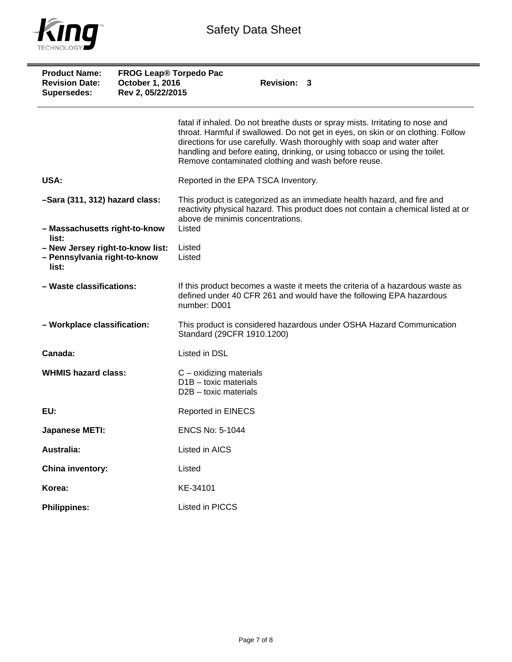

| <b>Product Name:</b><br><b>Revision Date:</b><br><b>Supersedes:</b>       | <b>FROG Leap® Torpedo Pac</b><br>October 1, 2016<br>Rev 2, 05/22/2015 | Revision: 3                                                                                                                                                                                                                                                                                                                                                                        |  |
|---------------------------------------------------------------------------|-----------------------------------------------------------------------|------------------------------------------------------------------------------------------------------------------------------------------------------------------------------------------------------------------------------------------------------------------------------------------------------------------------------------------------------------------------------------|--|
|                                                                           |                                                                       | fatal if inhaled. Do not breathe dusts or spray mists. Irritating to nose and<br>throat. Harmful if swallowed. Do not get in eyes, on skin or on clothing. Follow<br>directions for use carefully. Wash thoroughly with soap and water after<br>handling and before eating, drinking, or using tobacco or using the toilet.<br>Remove contaminated clothing and wash before reuse. |  |
| USA:                                                                      |                                                                       | Reported in the EPA TSCA Inventory.                                                                                                                                                                                                                                                                                                                                                |  |
| -Sara (311, 312) hazard class:                                            |                                                                       | This product is categorized as an immediate health hazard, and fire and<br>reactivity physical hazard. This product does not contain a chemical listed at or<br>above de minimis concentrations.                                                                                                                                                                                   |  |
| - Massachusetts right-to-know<br>list:                                    |                                                                       | Listed                                                                                                                                                                                                                                                                                                                                                                             |  |
| - New Jersey right-to-know list:<br>- Pennsylvania right-to-know<br>list: |                                                                       | Listed<br>Listed                                                                                                                                                                                                                                                                                                                                                                   |  |
| - Waste classifications:                                                  |                                                                       | If this product becomes a waste it meets the criteria of a hazardous waste as<br>defined under 40 CFR 261 and would have the following EPA hazardous<br>number: D001                                                                                                                                                                                                               |  |
| - Workplace classification:                                               |                                                                       | This product is considered hazardous under OSHA Hazard Communication<br>Standard (29CFR 1910.1200)                                                                                                                                                                                                                                                                                 |  |
| Canada:                                                                   |                                                                       | Listed in DSL                                                                                                                                                                                                                                                                                                                                                                      |  |
| <b>WHMIS hazard class:</b>                                                |                                                                       | $C$ – oxidizing materials<br>$D1B -$ toxic materials<br>$D2B -$ toxic materials                                                                                                                                                                                                                                                                                                    |  |
| EU:                                                                       |                                                                       | <b>Reported in EINECS</b>                                                                                                                                                                                                                                                                                                                                                          |  |
| <b>Japanese METI:</b>                                                     |                                                                       | <b>ENCS No: 5-1044</b>                                                                                                                                                                                                                                                                                                                                                             |  |
| Australia:                                                                |                                                                       | Listed in AICS                                                                                                                                                                                                                                                                                                                                                                     |  |
| China inventory:                                                          |                                                                       | Listed                                                                                                                                                                                                                                                                                                                                                                             |  |
| Korea:                                                                    |                                                                       | KE-34101                                                                                                                                                                                                                                                                                                                                                                           |  |
| <b>Philippines:</b>                                                       |                                                                       | Listed in PICCS                                                                                                                                                                                                                                                                                                                                                                    |  |